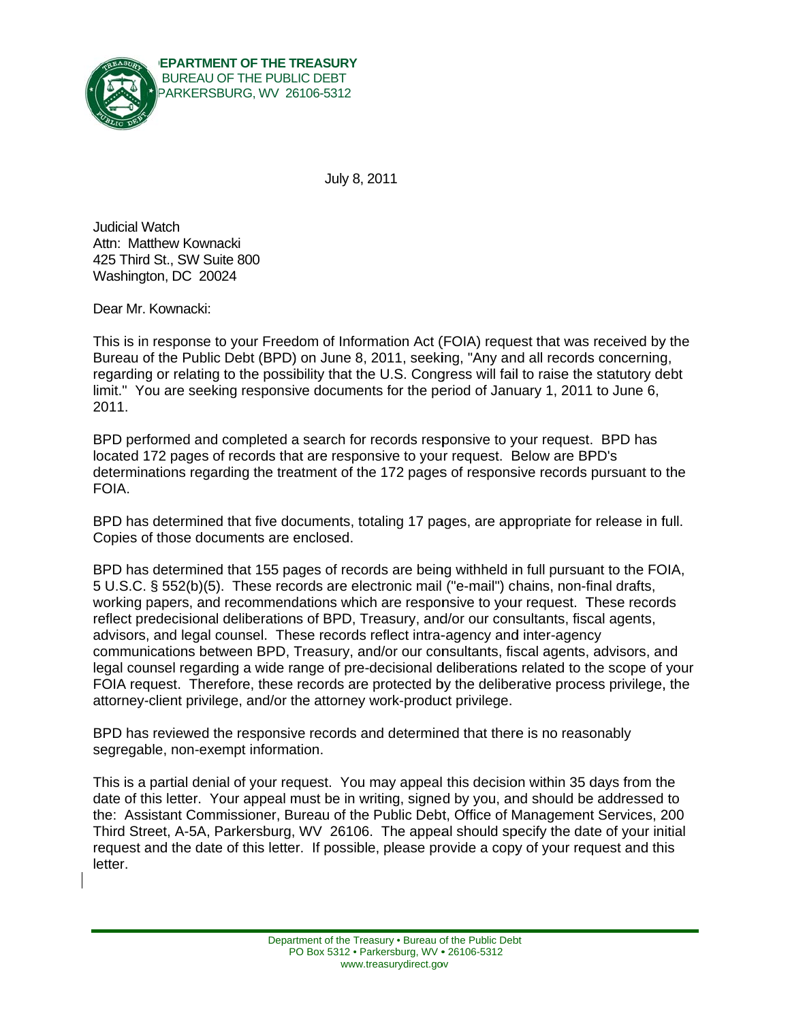

July 8, 2011

**Judicial Watch** Attn: Matthew Kownacki 425 Third St., SW Suite 800 Washington, DC 20024

Dear Mr. Kownacki:

This is in response to your Freedom of Information Act (FOIA) request that was received by the Bureau of the Public Debt (BPD) on June 8, 2011, seeking, "Any and all records concerning, regarding or relating to the possibility that the U.S. Congress will fail to raise the statutory debt limit." You are seeking responsive documents for the period of January 1, 2011 to June 6, 2011.

BPD performed and completed a search for records responsive to your request. BPD has located 172 pages of records that are responsive to your request. Below are BPD's determinations regarding the treatment of the 172 pages of responsive records pursuant to the FOIA.

BPD has determined that five documents, totaling 17 pages, are appropriate for release in full. Copies of those documents are enclosed.

BPD has determined that 155 pages of records are being withheld in full pursuant to the FOIA, 5 U.S.C. § 552(b)(5). These records are electronic mail ("e-mail") chains, non-final drafts, working papers, and recommendations which are responsive to your request. These records reflect predecisional deliberations of BPD. Treasury, and/or our consultants, fiscal agents, advisors, and legal counsel. These records reflect intra-agency and inter-agency communications between BPD, Treasury, and/or our consultants, fiscal agents, advisors, and legal counsel regarding a wide range of pre-decisional deliberations related to the scope of your FOIA request. Therefore, these records are protected by the deliberative process privilege, the attorney-client privilege, and/or the attorney work-product privilege.

BPD has reviewed the responsive records and determined that there is no reasonably segregable, non-exempt information.

This is a partial denial of your request. You may appeal this decision within 35 days from the date of this letter. Your appeal must be in writing, signed by you, and should be addressed to the: Assistant Commissioner, Bureau of the Public Debt, Office of Management Services, 200 Third Street, A-5A, Parkersburg, WV 26106. The appeal should specify the date of your initial request and the date of this letter. If possible, please provide a copy of your request and this letter.